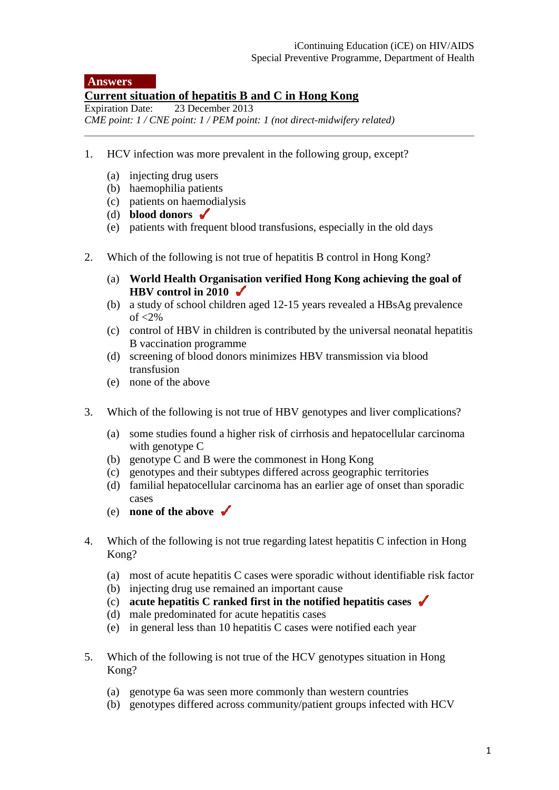## **Answers**

## **Current situation of hepatitis B and C in Hong Kong**<br>Expiration Date: 23 December 2013

23 December 2013 *CME point: 1 / CNE point: 1 / PEM point: 1 (not direct-midwifery related)*

- 1. HCV infection was more prevalent in the following group, except?
	- (a) injecting drug users
	- (b) haemophilia patients
	- (c) patients on haemodialysis
	- (d) **blood donors**
	- (e) patients with frequent blood transfusions, especially in the old days
- 2. Which of the following is not true of hepatitis B control in Hong Kong?
	- (a) **World Health Organisation verified Hong Kong achieving the goal of HBV control in 2010**
	- (b) a study of school children aged 12-15 years revealed a HBsAg prevalence of  $\langle 2\%$
	- (c) control of HBV in children is contributed by the universal neonatal hepatitis B vaccination programme
	- (d) screening of blood donors minimizes HBV transmission via blood transfusion
	- (e) none of the above
- 3. Which of the following is not true of HBV genotypes and liver complications?
	- (a) some studies found a higher risk of cirrhosis and hepatocellular carcinoma with genotype C
	- (b) genotype C and B were the commonest in Hong Kong
	- (c) genotypes and their subtypes differed across geographic territories
	- (d) familial hepatocellular carcinoma has an earlier age of onset than sporadic cases
	- (e) **none of the above**
- 4. Which of the following is not true regarding latest hepatitis C infection in Hong Kong?
	- (a) most of acute hepatitis C cases were sporadic without identifiable risk factor
	- (b) injecting drug use remained an important cause
	- (c) **acute hepatitis C ranked first in the notified hepatitis cases**
	- (d) male predominated for acute hepatitis cases
	- (e) in general less than 10 hepatitis C cases were notified each year
- 5. Which of the following is not true of the HCV genotypes situation in Hong Kong?
	- (a) genotype 6a was seen more commonly than western countries
	- (b) genotypes differed across community/patient groups infected with HCV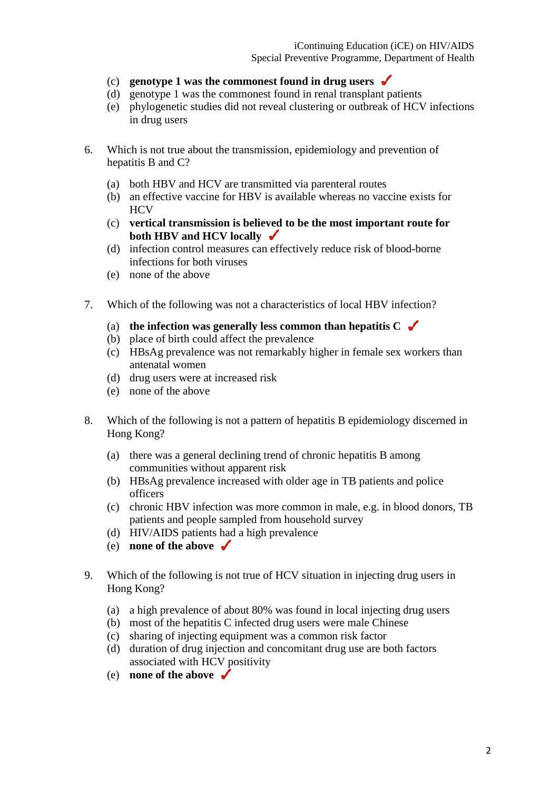- (c) **genotype 1 was the commonest found in drug users**
- (d) genotype 1 was the commonest found in renal transplant patients
- (e) phylogenetic studies did not reveal clustering or outbreak of HCV infections in drug users
- 6. Which is not true about the transmission, epidemiology and prevention of hepatitis B and C?
	- (a) both HBV and HCV are transmitted via parenteral routes
	- (b) an effective vaccine for HBV is available whereas no vaccine exists for **HCV**
	- (c) **vertical transmission is believed to be the most important route for both HBV and HCV locally**
	- (d) infection control measures can effectively reduce risk of blood-borne infections for both viruses
	- (e) none of the above
- 7. Which of the following was not a characteristics of local HBV infection?
	- (a) **the infection was generally less common than hepatitis C**
	- (b) place of birth could affect the prevalence
	- (c) HBsAg prevalence was not remarkably higher in female sex workers than antenatal women
	- (d) drug users were at increased risk
	- (e) none of the above
- 8. Which of the following is not a pattern of hepatitis B epidemiology discerned in Hong Kong?
	- (a) there was a general declining trend of chronic hepatitis B among communities without apparent risk
	- (b) HBsAg prevalence increased with older age in TB patients and police officers
	- (c) chronic HBV infection was more common in male, e.g. in blood donors, TB patients and people sampled from household survey
	- (d) HIV/AIDS patients had a high prevalence
	- (e) **none of the above**
- 9. Which of the following is not true of HCV situation in injecting drug users in Hong Kong?
	- (a) a high prevalence of about 80% was found in local injecting drug users
	- (b) most of the hepatitis C infected drug users were male Chinese
	- (c) sharing of injecting equipment was a common risk factor
	- (d) duration of drug injection and concomitant drug use are both factors associated with HCV positivity
	- (e) **none of the above**